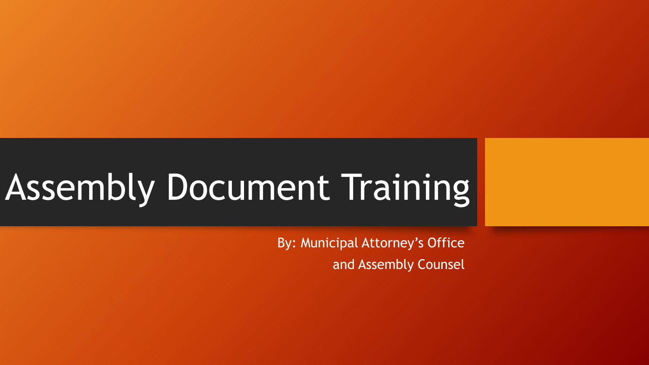# Assembly Document Training

By: Municipal Attorney's Office and Assembly Counsel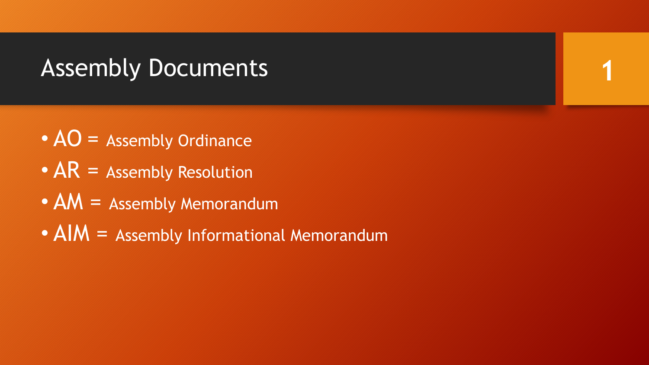# Assembly Documents

- $AO =$  Assembly Ordinance
- $AR =$  Assembly Resolution
- AM = Assembly Memorandum
- AIM = Assembly Informational Memorandum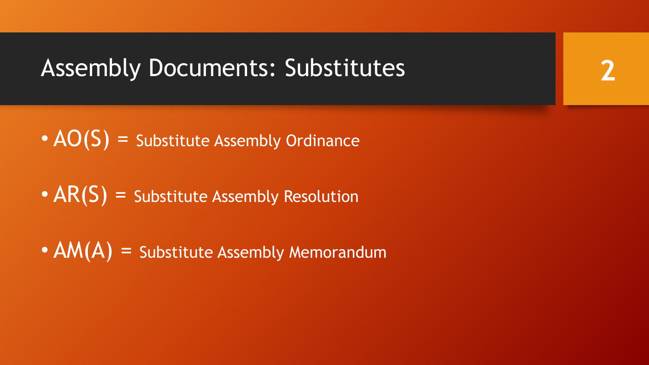# Assembly Documents: Substitutes

- $AO(S)$  = Substitute Assembly Ordinance
- $AR(S)$  = Substitute Assembly Resolution
- $AM(A)$  = Substitute Assembly Memorandum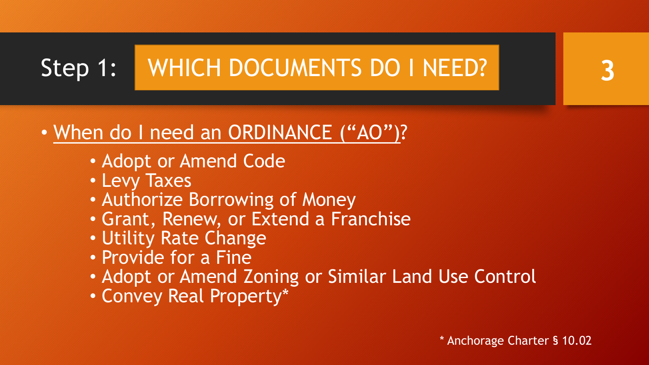# Step 1: WHICH DOCUMENTS DO I NEED?

# • When do I need an ORDINANCE ("AO")?

- Adopt or Amend Code
- Levy Taxes
- Authorize Borrowing of Money
- Grant, Renew, or Extend a Franchise
- Utility Rate Change
- Provide for a Fine
- Adopt or Amend Zoning or Similar Land Use Control
- Convey Real Property\*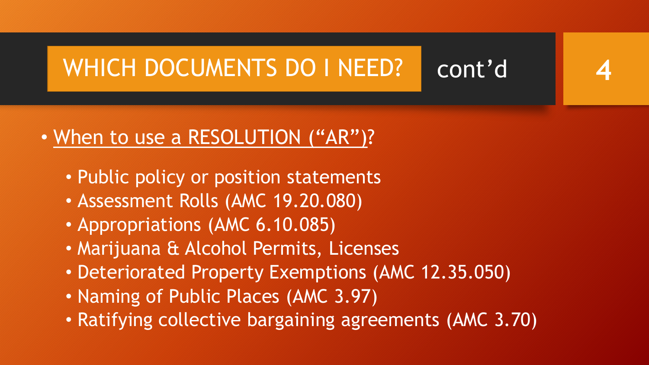### WHICH DOCUMENTS DO I NEED? cont'd **4**

## • When to use a RESOLUTION ("AR")?

- Public policy or position statements
- Assessment Rolls (AMC 19.20.080)
- Appropriations (AMC 6.10.085)
- Marijuana & Alcohol Permits, Licenses
- Deteriorated Property Exemptions (AMC 12.35.050)
- Naming of Public Places (AMC 3.97)
- Ratifying collective bargaining agreements (AMC 3.70)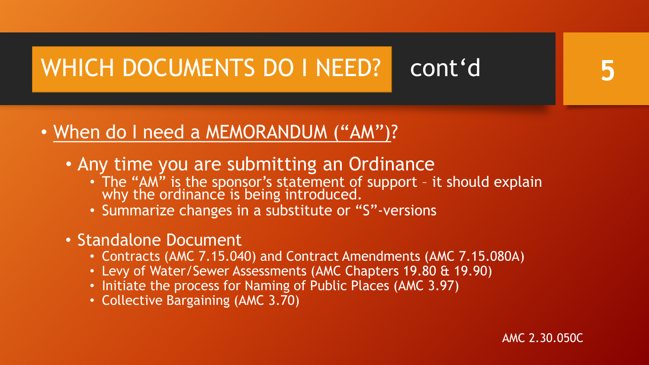# WHICH DOCUMENTS DO I NEED? cont'd

## • When do I need a MEMORANDUM ("AM")?

- Any time you are submitting an Ordinance
	- The "AM" is the sponsor's statement of support it should explain why the ordinance is being introduced.
	- Summarize changes in a substitute or "S"-versions
- Standalone Document
	- Contracts (AMC 7.15.040) and Contract Amendments (AMC 7.15.080A)
	- Levy of Water/Sewer Assessments (AMC Chapters 19.80 & 19.90)
	- Initiate the process for Naming of Public Places (AMC 3.97)
	- Collective Bargaining (AMC 3.70)

AMC 2.30.050C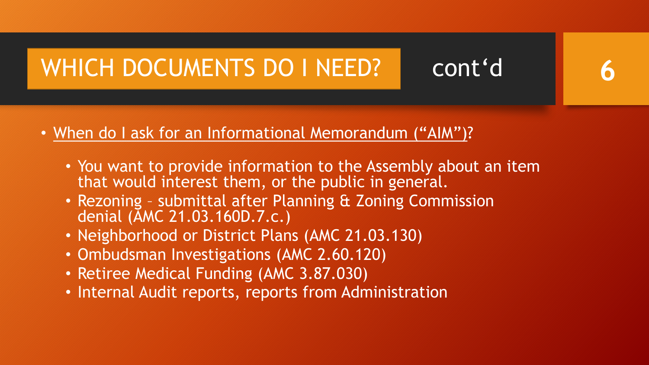# WHICH DOCUMENTS DO I NEED? cont'd

- When do I ask for an Informational Memorandum ("AIM")?
	- You want to provide information to the Assembly about an item that would interest them, or the public in general.

- Rezoning submittal after Planning & Zoning Commission denial (AMC 21.03.160D.7.c.)
- Neighborhood or District Plans (AMC 21.03.130)
- Ombudsman Investigations (AMC 2.60.120)
- Retiree Medical Funding (AMC 3.87.030)
- Internal Audit reports, reports from Administration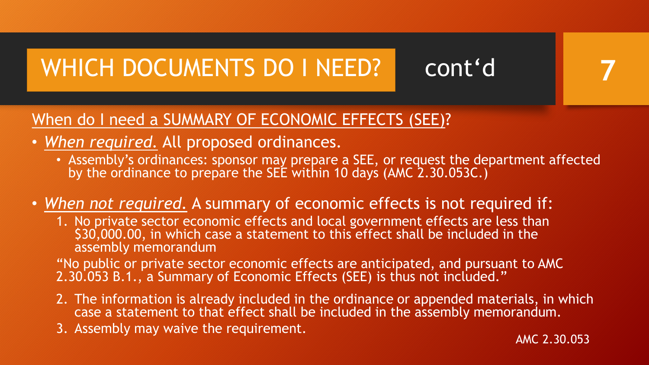# WHICH DOCUMENTS DO I NEED? cont'd

## When do I need a SUMMARY OF ECONOMIC EFFECTS (SEE)?

- *When required.* All proposed ordinances.
	- Assembly's ordinances: sponsor may prepare a SEE, or request the department affected by the ordinance to prepare the SEE within 10 days (AMC 2.30.053C.)
- *When not required.* A summary of economic effects is not required if:
	- 1. No private sector economic effects and local government effects are less than \$30,000.00, in which case a statement to this effect shall be included in the assembly memorandum

"No public or private sector economic effects are anticipated, and pursuant to AMC 2.30.053 B.1., a Summary of Economic Effects (SEE) is thus not included."

- 2. The information is already included in the ordinance or appended materials, in which case a statement to that effect shall be included in the assembly memorandum.
- 3. Assembly may waive the requirement.

AMC 2.30.053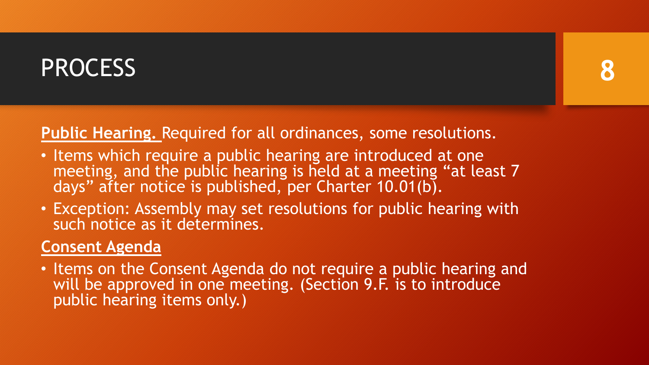# PROCESS

## **Public Hearing.** Required for all ordinances, some resolutions.

- Items which require a public hearing are introduced at one meeting, and the public hearing is held at a meeting "at least 7 days" after notice is published, per Charter 10.01(b).
- Exception: Assembly may set resolutions for public hearing with such notice as it determines.

## **Consent Agenda**

• Items on the Consent Agenda do not require a public hearing and will be approved in one meeting. (Section 9.F. is to introduce public hearing items only.)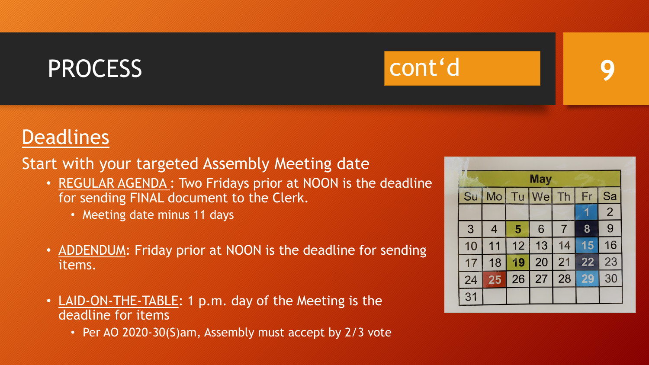# PROCESS cont'd **9**

## **Deadlines**

Start with your targeted Assembly Meeting date

- REGULAR AGENDA: Two Fridays prior at NOON is the deadline for sending FINAL document to the Clerk.
	- Meeting date minus 11 days
- ADDENDUM: Friday prior at NOON is the deadline for sending items.
- LAID-ON-THE-TABLE: 1 p.m. day of the Meeting is the deadline for items
	- Per AO 2020-30(S)am, Assembly must accept by 2/3 vote

| will<br><b>May</b> |                |    |    |                |    |                |
|--------------------|----------------|----|----|----------------|----|----------------|
| Su                 | Mo             | Tu | We | Th             | Fr | Sa             |
|                    |                |    |    |                |    | $\overline{2}$ |
| 3                  | $\overline{4}$ | 5  | 6  | $\overline{7}$ | 8  | 9              |
| 10                 | 11             | 12 | 13 | 14             | 15 | 16             |
| 17                 | 18             | 19 | 20 | 21             | 22 | 23             |
| 24                 | 25             | 26 | 27 | 28             | 29 | 30             |
| 31                 |                |    |    |                |    |                |

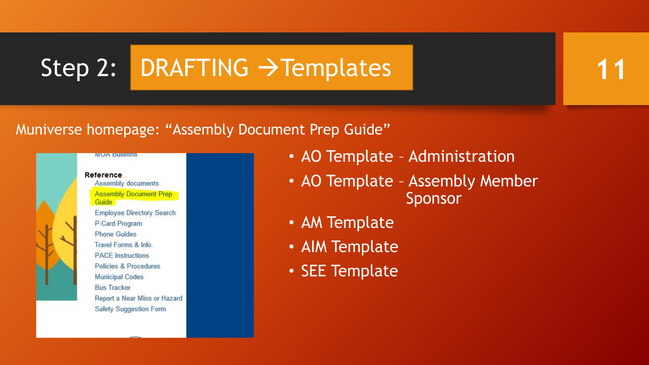# Step 2: DRAFTING  $\rightarrow$  Templates

## Muniverse homepage: "Assembly Document Prep Guide"



- AO Template Administration
- AO Template Assembly Member Sponsor

- AM Template
- AIM Template
- SEE Template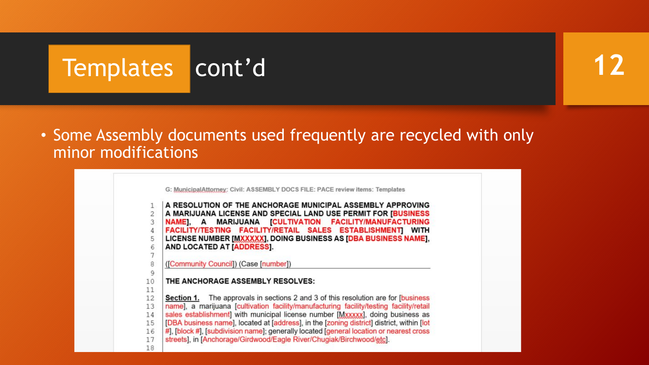# Templates cont'd

## • Some Assembly documents used frequently are recycled with only minor modifications

G: MunicipalAttorney: Civil: ASSEMBLY DOCS FILE: PACE review items: Templates A RESOLUTION OF THE ANCHORAGE MUNICIPAL ASSEMBLY APPROVING  $\mathbf{1}$ A MARIJUANA LICENSE AND SPECIAL LAND USE PERMIT FOR [BUSINESS  $\overline{2}$ NAMEI, A MARIJUANA [CULTIVATION FACILITY/MANUFACTURING FACILITY/TESTING FACILITY/RETAIL SALES ESTABLISHMENT] WITH LICENSE NUMBER [MXXXXX], DOING BUSINESS AS [DBA BUSINESS NAME], 5 AND LOCATED AT [ADDRESS]. 8 ([Community Council]) (Case [number]) 9 10 THE ANCHORAGE ASSEMBLY RESOLVES: 11 **Section 1.** The approvals in sections 2 and 3 of this resolution are for [business] 12 name], a marijuana [cultivation facility/manufacturing facility/testing facility/retail 13 sales establishment] with municipal license number [Mxxxxx], doing business as 14 [DBA business name], located at [address], in the [zoning district] district, within [lot 15 #], [block #], [subdivision name]; generally located [general location or nearest cross 16 streets], in [Anchorage/Girdwood/Eagle River/Chugiak/Birchwood/etcl. 17 18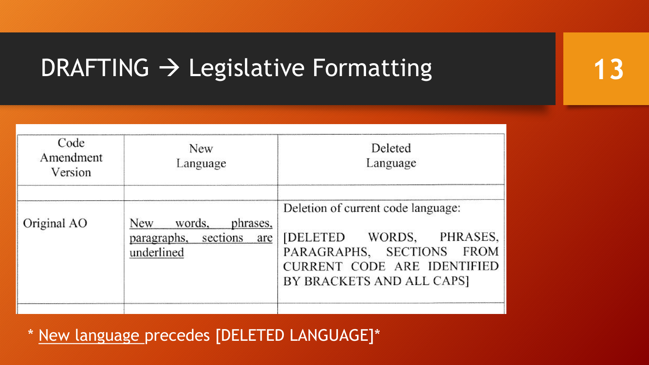# DRAFTING  $\rightarrow$  Legislative Formatting 13

| Code<br>Amendment<br>Version | <b>New</b><br>Language                                                 | Deleted<br>Language                                                                                                                                                  |  |  |
|------------------------------|------------------------------------------------------------------------|----------------------------------------------------------------------------------------------------------------------------------------------------------------------|--|--|
| Original AO                  | New<br>words.<br>phrases.<br>paragraphs, sections<br>are<br>underlined | Deletion of current code language:<br>PHRASES,<br>WORDS,<br><b>[DELETED</b><br>PARAGRAPHS, SECTIONS FROM<br>CURRENT CODE ARE IDENTIFIED<br>BY BRACKETS AND ALL CAPS] |  |  |

\* New language precedes [DELETED LANGUAGE]\*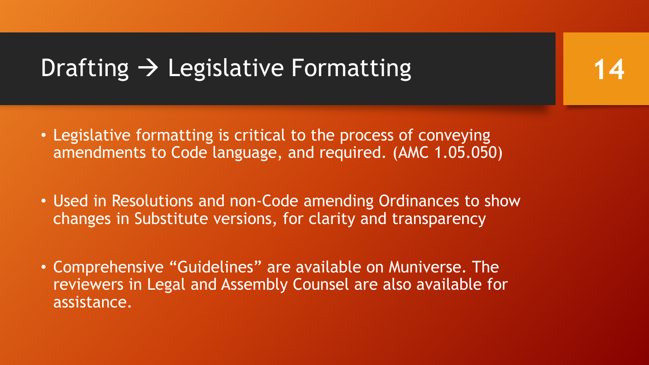# Drafting  $\rightarrow$  Legislative Formatting

• Legislative formatting is critical to the process of conveying amendments to Code language, and required. (AMC 1.05.050)

- Used in Resolutions and non-Code amending Ordinances to show changes in Substitute versions, for clarity and transparency
- Comprehensive "Guidelines" are available on Muniverse. The reviewers in Legal and Assembly Counsel are also available for assistance.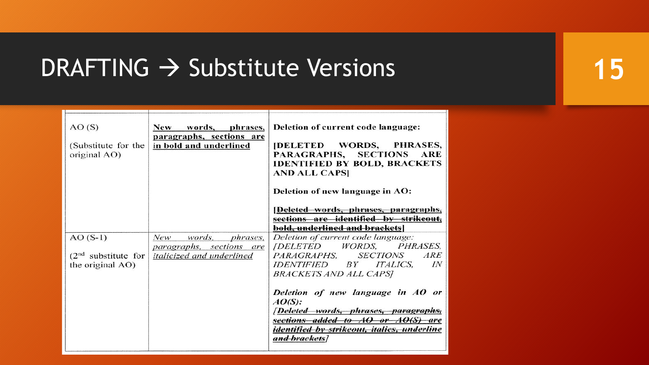# DRAFTING  $\rightarrow$  Substitute Versions 15

| AO(S)<br>(Substitute for the<br>original AO) | New words, phrases,<br>paragraphs, sections are<br>in bold and underlined | Deletion of current code language:<br><b>[DELETED WORDS, PHRASES,</b><br>PARAGRAPHS, SECTIONS<br><b>ARE</b><br><b>IDENTIFIED BY BOLD, BRACKETS</b><br><b>AND ALL CAPS</b>                       |
|----------------------------------------------|---------------------------------------------------------------------------|-------------------------------------------------------------------------------------------------------------------------------------------------------------------------------------------------|
|                                              |                                                                           | Deletion of new language in AO:                                                                                                                                                                 |
|                                              |                                                                           | [Deleted words, phrases, paragraphs,<br>sections are identified by strikeout,<br>bold, underlined and brackets                                                                                  |
| $AO(S-1)$                                    | New.<br>words, phrases,                                                   | Deletion of current code language:                                                                                                                                                              |
| $(2nd$ substitute for<br>the original AO)    | paragraphs, sections are<br><i>italicized and underlined</i>              | [DELETED WORDS, PHRASES,<br>ARE<br>PARAGRAPHS. SECTIONS<br><i>IDENTIFIED BY ITALICS,</i><br>IN<br>BRACKETS AND ALL CAPS]                                                                        |
|                                              |                                                                           | Deletion of new language in AO or<br>AO(S):<br><i>[Deleted words, phrases, paragraphs,</i><br>sections added to AO or AO(S) are<br>identified by strikeout, italics, underline<br>and brackets] |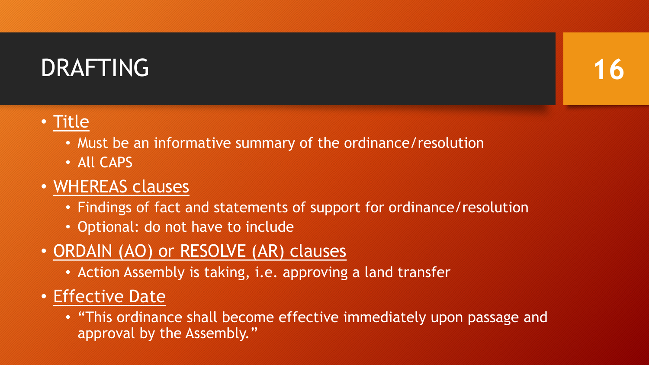# DRAFTING



## • Title

- Must be an informative summary of the ordinance/resolution
- All CAPS

## • WHEREAS clauses

- Findings of fact and statements of support for ordinance/resolution
- Optional: do not have to include
- ORDAIN (AO) or RESOLVE (AR) clauses
	- Action Assembly is taking, i.e. approving a land transfer
- Effective Date
	- "This ordinance shall become effective immediately upon passage and approval by the Assembly."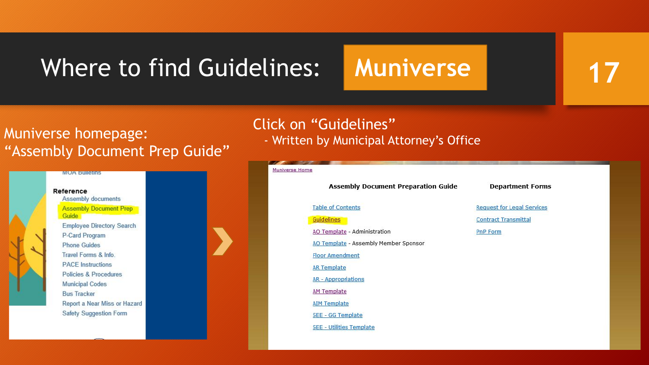# Where to find Guidelines: Muniverse

**17**

## Muniverse homepage: "Assembly Document Prep Guide"



## Click on "Guidelines"

- Written by Municipal Attorney's Office

### Muniverse Home **Assembly Document Preparation Guide Department Forms Table of Contents Request for Legal Services** Guidelines **Contract Transmittal** AO Template - Administration **PnP Form** AO Template - Assembly Member Sponsor **Floor Amendment AR Template AR - Appropriations AM Template AIM Template SEE - GG Template SEE - Utilities Template**